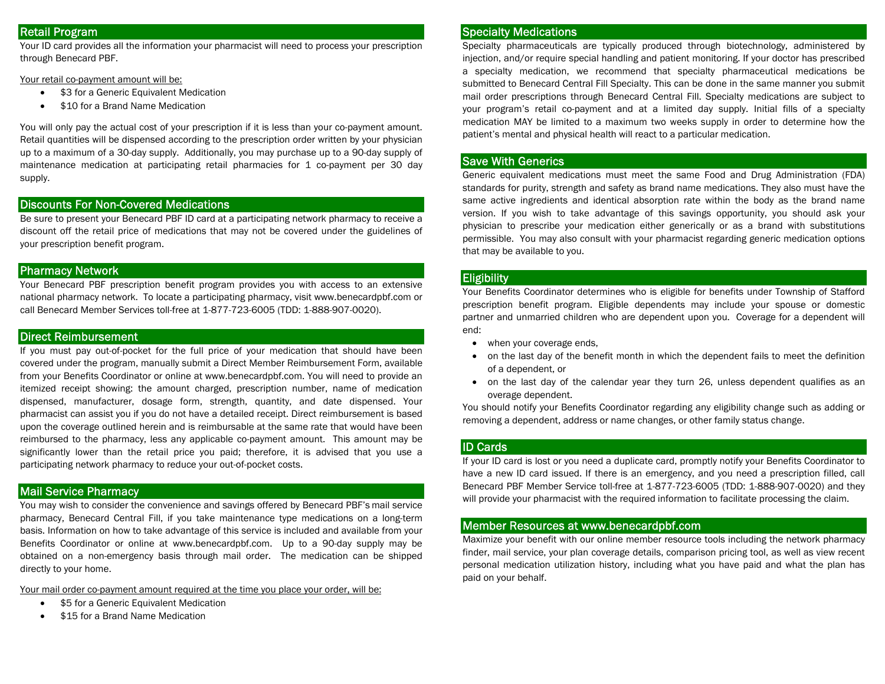# Retail Program

Your ID card provides all the information your pharmacist will need to process your prescription through Benecard PBF.

Your retail co-payment amount will be:

- $\bullet$ \$3 for a Generic Equivalent Medication
- $\bullet$ \$10 for a Brand Name Medication

You will only pay the actual cost of your prescription if it is less than your co-payment amount. Retail quantities will be dispensed according to the prescription order written by your physician up to a maximum of a 30-day supply. Additionally, you may purchase up to a 90-day supply of maintenance medication at participating retail pharmacies for 1 co-payment per 30 day supply.

## Discounts For Non-Covered Medications

Be sure to present your Benecard PBF ID card at a participating network pharmacy to receive a discount off the retail price of medications that may not be covered under the guidelines of your prescription benefit program.

#### Pharmacy Network

Your Benecard PBF prescription benefit program provides you with access to an extensive national pharmacy network. To locate a participating pharmacy, visit www.benecardpbf.com or call Benecard Member Services toll-free at 1-877-723-6005 (TDD: 1-888-907-0020).

# Direct Reimbursement

If you must pay out-of-pocket for the full price of your medication that should have been covered under the program, manually submit a Direct Member Reimbursement Form, available from your Benefits Coordinator or online at www.benecardpbf.com. You will need to provide an itemized receipt showing: the amount charged, prescription number, name of medication dispensed, manufacturer, dosage form, strength, quantity, and date dispensed. Your pharmacist can assist you if you do not have a detailed receipt. Direct reimbursement is based upon the coverage outlined herein and is reimbursable at the same rate that would have been reimbursed to the pharmacy, less any applicable co-payment amount. This amount may be significantly lower than the retail price you paid; therefore, it is advised that you use a participating network pharmacy to reduce your out-of-pocket costs.

# Mail Service Pharmacy

You may wish to consider the convenience and savings offered by Benecard PBF's mail service pharmacy, Benecard Central Fill, if you take maintenance type medications on a long-term basis. Information on how to take advantage of this service is included and available from your Benefits Coordinator or online at www.benecardpbf.com. Up to a 90-day supply may be obtained on a non-emergency basis through mail order. The medication can be shipped directly to your home.

Your mail order co-payment amount required at the time you place your order, will be:

- $\bullet$ \$5 for a Generic Equivalent Medication
- $\bullet$ \$15 for a Brand Name Medication

#### Specialty Medications

Specialty pharmaceuticals are typically produced through biotechnology, administered by injection, and/or require special handling and patient monitoring. If your doctor has prescribed a specialty medication, we recommend that specialty pharmaceutical medications be submitted to Benecard Central Fill Specialty. This can be done in the same manner you submit mail order prescriptions through Benecard Central Fill. Specialty medications are subject to your program's retail co-payment and at a limited day supply. Initial fills of a specialty medication MAY be limited to a maximum two weeks supply in order to determine how the patient's mental and physical health will react to a particular medication.

## Save With Generics

Generic equivalent medications must meet the same Food and Drug Administration (FDA) standards for purity, strength and safety as brand name medications. They also must have the same active ingredients and identical absorption rate within the body as the brand name version. If you wish to take advantage of this savings opportunity, you should ask your physician to prescribe your medication either generically or as a brand with substitutions permissible. You may also consult with your pharmacist regarding generic medication options that may be available to you.

#### **Eligibility**

Your Benefits Coordinator determines who is eligible for benefits under Township of Stafford prescription benefit program. Eligible dependents may include your spouse or domestic partner and unmarried children who are dependent upon you. Coverage for a dependent will end:

- when your coverage ends,
- 0 on the last day of the benefit month in which the dependent fails to meet the definition of a dependent, or
- on the last day of the calendar year they turn 26, unless dependent qualifies as an overage dependent.

You should notify your Benefits Coordinator regarding any eligibility change such as adding or removing a dependent, address or name changes, or other family status change.

#### ID Cards

If your ID card is lost or you need a duplicate card, promptly notify your Benefits Coordinator to have a new ID card issued. If there is an emergency, and you need a prescription filled, call Benecard PBF Member Service toll-free at 1-877-723-6005 (TDD: 1-888-907-0020) and they will provide your pharmacist with the required information to facilitate processing the claim.

#### Member Resources at www.benecardpbf.com

Maximize your benefit with our online member resource tools including the network pharmacy finder, mail service, your plan coverage details, comparison pricing tool, as well as view recent personal medication utilization history, including what you have paid and what the plan has paid on your behalf.